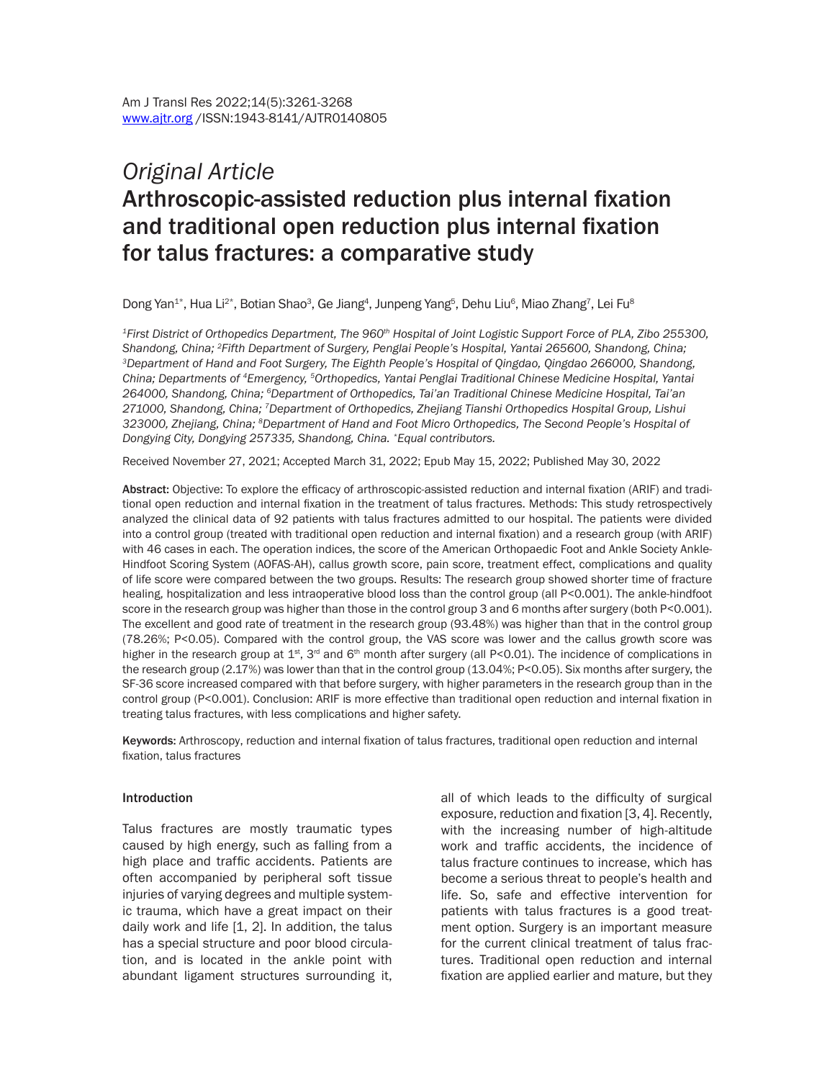# *Original Article*  Arthroscopic-assisted reduction plus internal fixation and traditional open reduction plus internal fixation for talus fractures: a comparative study

Dong Yan $^{1*}$ , Hua Li $^{2*}$ , Botian Shao $^3$ , Ge Jiang $^4$ , Junpeng Yang $^5$ , Dehu Liu $^6$ , Miao Zhang $^7$ , Lei Fu $^8$ 

*1First District of Orthopedics Department, The 960th Hospital of Joint Logistic Support Force of PLA, Zibo 255300,*  Shandong, China; <sup>2</sup>Fifth Department of Surgery, Penglai People's Hospital, Yantai 265600, Shandong, China;<br><sup>3</sup>Department of Hand and Foot Surgery, The Eighth People's Hospital of Oingdao, Oingdao 266000, Shandong, *China; Departments of 4Emergency, 5Orthopedics, Yantai Penglai Traditional Chinese Medicine Hospital, Yantai 264000, Shandong, China; 6Department of Orthopedics, Tai'an Traditional Chinese Medicine Hospital, Tai'an 271000, Shandong, China; 7Department of Orthopedics, Zhejiang Tianshi Orthopedics Hospital Group, Lishui 323000, Zhejiang, China; 8Department of Hand and Foot Micro Orthopedics, The Second People's Hospital of Dongying City, Dongying 257335, Shandong, China. \*Equal contributors.*

Received November 27, 2021; Accepted March 31, 2022; Epub May 15, 2022; Published May 30, 2022

Abstract: Objective: To explore the efficacy of arthroscopic-assisted reduction and internal fixation (ARIF) and traditional open reduction and internal fixation in the treatment of talus fractures. Methods: This study retrospectively analyzed the clinical data of 92 patients with talus fractures admitted to our hospital. The patients were divided into a control group (treated with traditional open reduction and internal fixation) and a research group (with ARIF) with 46 cases in each. The operation indices, the score of the American Orthopaedic Foot and Ankle Society Ankle-Hindfoot Scoring System (AOFAS-AH), callus growth score, pain score, treatment effect, complications and quality of life score were compared between the two groups. Results: The research group showed shorter time of fracture healing, hospitalization and less intraoperative blood loss than the control group (all P<0.001). The ankle-hindfoot score in the research group was higher than those in the control group 3 and 6 months after surgery (both P<0.001). The excellent and good rate of treatment in the research group (93.48%) was higher than that in the control group (78.26%; P<0.05). Compared with the control group, the VAS score was lower and the callus growth score was higher in the research group at  $1^{st}$ , 3<sup>rd</sup> and 6<sup>th</sup> month after surgery (all P<0.01). The incidence of complications in the research group (2.17%) was lower than that in the control group (13.04%; P<0.05). Six months after surgery, the SF-36 score increased compared with that before surgery, with higher parameters in the research group than in the control group (P<0.001). Conclusion: ARIF is more effective than traditional open reduction and internal fixation in treating talus fractures, with less complications and higher safety.

Keywords: Arthroscopy, reduction and internal fixation of talus fractures, traditional open reduction and internal fixation, talus fractures

#### Introduction

Talus fractures are mostly traumatic types caused by high energy, such as falling from a high place and traffic accidents. Patients are often accompanied by peripheral soft tissue injuries of varying degrees and multiple systemic trauma, which have a great impact on their daily work and life [1, 2]. In addition, the talus has a special structure and poor blood circulation, and is located in the ankle point with abundant ligament structures surrounding it, all of which leads to the difficulty of surgical exposure, reduction and fixation [3, 4]. Recently, with the increasing number of high-altitude work and traffic accidents, the incidence of talus fracture continues to increase, which has become a serious threat to people's health and life. So, safe and effective intervention for patients with talus fractures is a good treatment option. Surgery is an important measure for the current clinical treatment of talus fractures. Traditional open reduction and internal fixation are applied earlier and mature, but they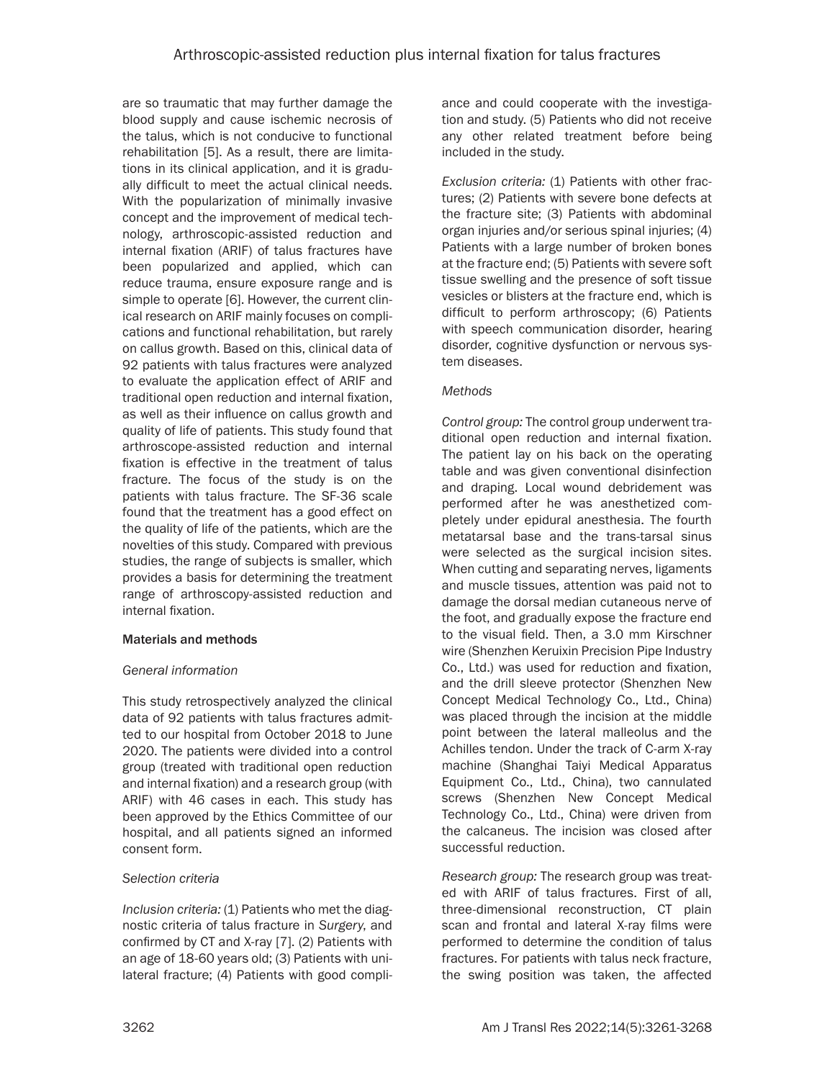are so traumatic that may further damage the blood supply and cause ischemic necrosis of the talus, which is not conducive to functional rehabilitation [5]. As a result, there are limitations in its clinical application, and it is gradually difficult to meet the actual clinical needs. With the popularization of minimally invasive concept and the improvement of medical technology, arthroscopic-assisted reduction and internal fixation (ARIF) of talus fractures have been popularized and applied, which can reduce trauma, ensure exposure range and is simple to operate [6]. However, the current clinical research on ARIF mainly focuses on complications and functional rehabilitation, but rarely on callus growth. Based on this, clinical data of 92 patients with talus fractures were analyzed to evaluate the application effect of ARIF and traditional open reduction and internal fixation, as well as their influence on callus growth and quality of life of patients. This study found that arthroscope-assisted reduction and internal fixation is effective in the treatment of talus fracture. The focus of the study is on the patients with talus fracture. The SF-36 scale found that the treatment has a good effect on the quality of life of the patients, which are the novelties of this study. Compared with previous studies, the range of subjects is smaller, which provides a basis for determining the treatment range of arthroscopy-assisted reduction and internal fixation.

# Materials and methods

# *General information*

This study retrospectively analyzed the clinical data of 92 patients with talus fractures admitted to our hospital from October 2018 to June 2020. The patients were divided into a control group (treated with traditional open reduction and internal fixation) and a research group (with ARIF) with 46 cases in each. This study has been approved by the Ethics Committee of our hospital, and all patients signed an informed consent form.

# *Selection criteria*

*Inclusion criteria:* (1) Patients who met the diagnostic criteria of talus fracture in *Surgery*, and confirmed by CT and X-ray [7]. (2) Patients with an age of 18-60 years old; (3) Patients with unilateral fracture; (4) Patients with good compliance and could cooperate with the investigation and study. (5) Patients who did not receive any other related treatment before being included in the study.

*Exclusion criteria:* (1) Patients with other fractures; (2) Patients with severe bone defects at the fracture site; (3) Patients with abdominal organ injuries and/or serious spinal injuries; (4) Patients with a large number of broken bones at the fracture end; (5) Patients with severe soft tissue swelling and the presence of soft tissue vesicles or blisters at the fracture end, which is difficult to perform arthroscopy; (6) Patients with speech communication disorder, hearing disorder, cognitive dysfunction or nervous system diseases.

## *Methods*

*Control group:* The control group underwent traditional open reduction and internal fixation. The patient lay on his back on the operating table and was given conventional disinfection and draping. Local wound debridement was performed after he was anesthetized completely under epidural anesthesia. The fourth metatarsal base and the trans-tarsal sinus were selected as the surgical incision sites. When cutting and separating nerves, ligaments and muscle tissues, attention was paid not to damage the dorsal median cutaneous nerve of the foot, and gradually expose the fracture end to the visual field. Then, a 3.0 mm Kirschner wire (Shenzhen Keruixin Precision Pipe Industry Co., Ltd.) was used for reduction and fixation, and the drill sleeve protector (Shenzhen New Concept Medical Technology Co., Ltd., China) was placed through the incision at the middle point between the lateral malleolus and the Achilles tendon. Under the track of C-arm X-ray machine (Shanghai Taiyi Medical Apparatus Equipment Co., Ltd., China), two cannulated screws (Shenzhen New Concept Medical Technology Co., Ltd., China) were driven from the calcaneus. The incision was closed after successful reduction.

*Research group:* The research group was treated with ARIF of talus fractures. First of all, three-dimensional reconstruction, CT plain scan and frontal and lateral X-ray films were performed to determine the condition of talus fractures. For patients with talus neck fracture, the swing position was taken, the affected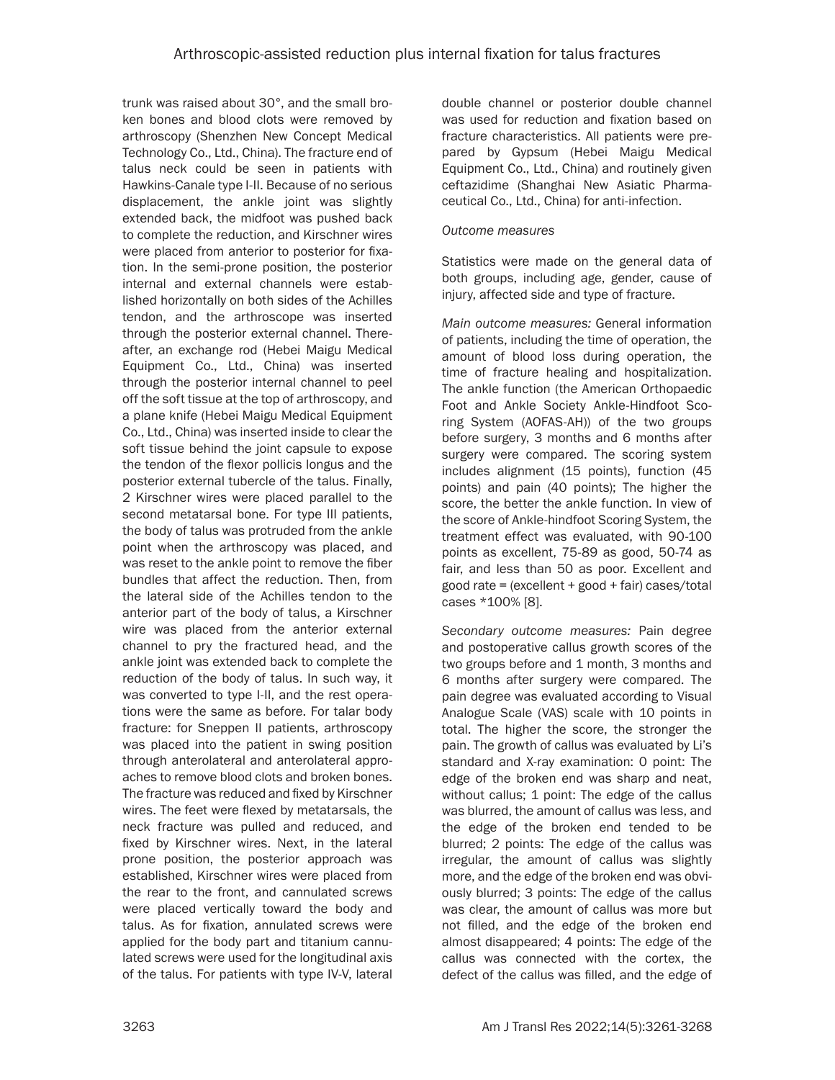trunk was raised about 30°, and the small broken bones and blood clots were removed by arthroscopy (Shenzhen New Concept Medical Technology Co., Ltd., China). The fracture end of talus neck could be seen in patients with Hawkins-Canale type I-II. Because of no serious displacement, the ankle joint was slightly extended back, the midfoot was pushed back to complete the reduction, and Kirschner wires were placed from anterior to posterior for fixation. In the semi-prone position, the posterior internal and external channels were established horizontally on both sides of the Achilles tendon, and the arthroscope was inserted through the posterior external channel. Thereafter, an exchange rod (Hebei Maigu Medical Equipment Co., Ltd., China) was inserted through the posterior internal channel to peel off the soft tissue at the top of arthroscopy, and a plane knife (Hebei Maigu Medical Equipment Co., Ltd., China) was inserted inside to clear the soft tissue behind the joint capsule to expose the tendon of the flexor pollicis longus and the posterior external tubercle of the talus. Finally, 2 Kirschner wires were placed parallel to the second metatarsal bone. For type III patients, the body of talus was protruded from the ankle point when the arthroscopy was placed, and was reset to the ankle point to remove the fiber bundles that affect the reduction. Then, from the lateral side of the Achilles tendon to the anterior part of the body of talus, a Kirschner wire was placed from the anterior external channel to pry the fractured head, and the ankle joint was extended back to complete the reduction of the body of talus. In such way, it was converted to type I-II, and the rest operations were the same as before. For talar body fracture: for Sneppen II patients, arthroscopy was placed into the patient in swing position through anterolateral and anterolateral approaches to remove blood clots and broken bones. The fracture was reduced and fixed by Kirschner wires. The feet were flexed by metatarsals, the neck fracture was pulled and reduced, and fixed by Kirschner wires. Next, in the lateral prone position, the posterior approach was established, Kirschner wires were placed from the rear to the front, and cannulated screws were placed vertically toward the body and talus. As for fixation, annulated screws were applied for the body part and titanium cannulated screws were used for the longitudinal axis of the talus. For patients with type IV-V, lateral

double channel or posterior double channel was used for reduction and fixation based on fracture characteristics. All patients were prepared by Gypsum (Hebei Maigu Medical Equipment Co., Ltd., China) and routinely given ceftazidime (Shanghai New Asiatic Pharmaceutical Co., Ltd., China) for anti-infection.

### *Outcome measures*

Statistics were made on the general data of both groups, including age, gender, cause of injury, affected side and type of fracture.

*Main outcome measures:* General information of patients, including the time of operation, the amount of blood loss during operation, the time of fracture healing and hospitalization. The ankle function (the American Orthopaedic Foot and Ankle Society Ankle-Hindfoot Scoring System (AOFAS-AH)) of the two groups before surgery, 3 months and 6 months after surgery were compared. The scoring system includes alignment (15 points), function (45 points) and pain (40 points); The higher the score, the better the ankle function. In view of the score of Ankle-hindfoot Scoring System, the treatment effect was evaluated, with 90-100 points as excellent, 75-89 as good, 50-74 as fair, and less than 50 as poor. Excellent and  $good rate = (excellent + good + fair) cases/total$ cases \*100% [8].

*Secondary outcome measures:* Pain degree and postoperative callus growth scores of the two groups before and 1 month, 3 months and 6 months after surgery were compared. The pain degree was evaluated according to Visual Analogue Scale (VAS) scale with 10 points in total. The higher the score, the stronger the pain. The growth of callus was evaluated by Li's standard and X-ray examination: 0 point: The edge of the broken end was sharp and neat, without callus; 1 point: The edge of the callus was blurred, the amount of callus was less, and the edge of the broken end tended to be blurred; 2 points: The edge of the callus was irregular, the amount of callus was slightly more, and the edge of the broken end was obviously blurred; 3 points: The edge of the callus was clear, the amount of callus was more but not filled, and the edge of the broken end almost disappeared; 4 points: The edge of the callus was connected with the cortex, the defect of the callus was filled, and the edge of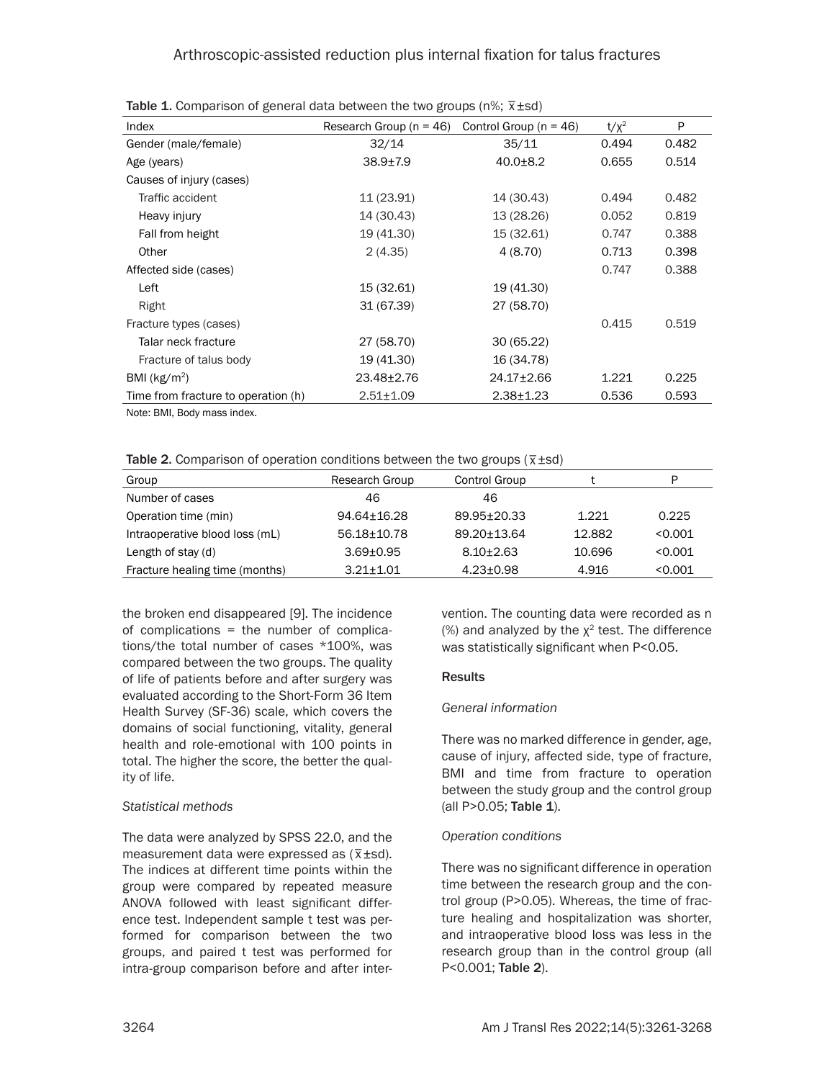| Index                               | Research Group $(n = 46)$ | Control Group ( $n = 46$ ) | $t/x^2$ | P     |
|-------------------------------------|---------------------------|----------------------------|---------|-------|
| Gender (male/female)                | 32/14                     | 35/11                      | 0.494   | 0.482 |
| Age (years)                         | $38.9 + 7.9$              | $40.0 + 8.2$               | 0.655   | 0.514 |
| Causes of injury (cases)            |                           |                            |         |       |
| Traffic accident                    | 11 (23.91)                | 14 (30.43)                 | 0.494   | 0.482 |
| Heavy injury                        | 14 (30.43)                | 13 (28.26)                 | 0.052   | 0.819 |
| Fall from height                    | 19 (41.30)                | 15 (32.61)                 | 0.747   | 0.388 |
| Other                               | 2(4.35)                   | 4(8.70)                    | 0.713   | 0.398 |
| Affected side (cases)               |                           |                            | 0.747   | 0.388 |
| Left                                | 15 (32.61)                | 19 (41.30)                 |         |       |
| Right                               | 31 (67.39)                | 27 (58.70)                 |         |       |
| Fracture types (cases)              |                           |                            | 0.415   | 0.519 |
| Talar neck fracture                 | 27 (58.70)                | 30(65.22)                  |         |       |
| Fracture of talus body              | 19 (41.30)                | 16 (34.78)                 |         |       |
| BMI $(kg/m2)$                       | 23.48±2.76                | 24.17±2.66                 | 1.221   | 0.225 |
| Time from fracture to operation (h) | $2.51 \pm 1.09$           | $2.38 \pm 1.23$            | 0.536   | 0.593 |

Table 1. Comparison of general data between the two groups (n%;  $\bar{x}$ ±sd)

Note: BMI, Body mass index.

| Table 2. Comparison of operation conditions between the two groups ( $\overline{x}$ ±sd) |  |  |  |
|------------------------------------------------------------------------------------------|--|--|--|

| Group                          | Research Group | Control Group   |        | P       |
|--------------------------------|----------------|-----------------|--------|---------|
| Number of cases                | 46             | 46              |        |         |
| Operation time (min)           | 94.64+16.28    | 89.95+20.33     | 1.221  | 0.225   |
| Intraoperative blood loss (mL) | 56.18+10.78    | 89.20+13.64     | 12.882 | < 0.001 |
| Length of stay (d)             | $3.69 + 0.95$  | $8.10 + 2.63$   | 10.696 | < 0.001 |
| Fracture healing time (months) | $3.21 + 1.01$  | $4.23 \pm 0.98$ | 4.916  | < 0.001 |

the broken end disappeared [9]. The incidence of complications = the number of complications/the total number of cases \*100%, was compared between the two groups. The quality of life of patients before and after surgery was evaluated according to the Short-Form 36 Item Health Survey (SF-36) scale, which covers the domains of social functioning, vitality, general health and role-emotional with 100 points in total. The higher the score, the better the quality of life.

# *Statistical methods*

The data were analyzed by SPSS 22.0, and the me data were analyzed by SPSS 22.0, and the measurement data were expressed as  $(\overline{x} \pm s d)$ . The indices at different time points within the group were compared by repeated measure ANOVA followed with least significant difference test. Independent sample t test was performed for comparison between the two groups, and paired t test was performed for intra-group comparison before and after intervention. The counting data were recorded as n (%) and analyzed by the  $\chi^2$  test. The difference was statistically significant when P<0.05.

# **Results**

# *General information*

There was no marked difference in gender, age, cause of injury, affected side, type of fracture, BMI and time from fracture to operation between the study group and the control group (all P>0.05; Table 1).

# *Operation conditions*

There was no significant difference in operation time between the research group and the control group (P>0.05). Whereas, the time of fracture healing and hospitalization was shorter, and intraoperative blood loss was less in the research group than in the control group (all P<0.001; Table 2).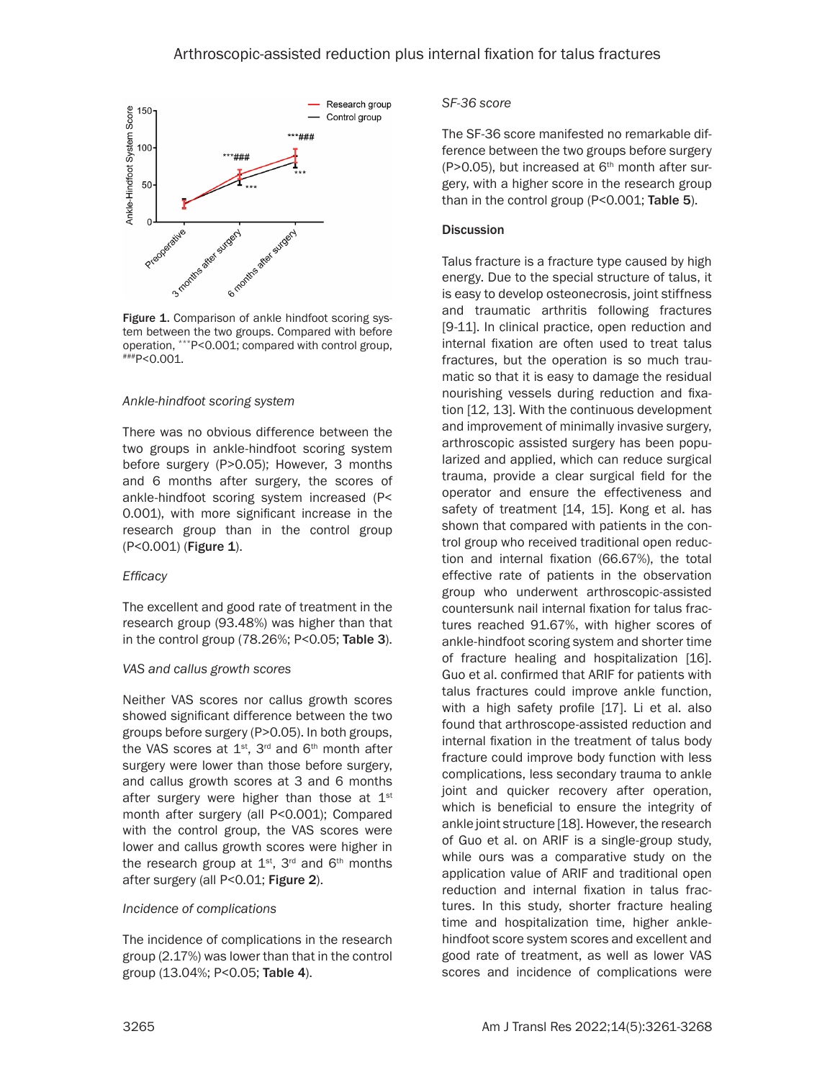

Figure 1. Comparison of ankle hindfoot scoring system between the two groups. Compared with before operation, \*\*\*P<0.001; compared with control group, ###P<0.001.

#### *Ankle-hindfoot scoring system*

There was no obvious difference between the two groups in ankle-hindfoot scoring system before surgery (P>0.05); However, 3 months and 6 months after surgery, the scores of ankle-hindfoot scoring system increased (P< 0.001), with more significant increase in the research group than in the control group (P<0.001) (Figure 1).

#### *Efficacy*

The excellent and good rate of treatment in the research group (93.48%) was higher than that in the control group (78.26%; P<0.05; Table 3).

#### *VAS and callus growth scores*

Neither VAS scores nor callus growth scores showed significant difference between the two groups before surgery (P>0.05). In both groups, the VAS scores at  $1^{st}$ ,  $3^{rd}$  and  $6^{th}$  month after surgery were lower than those before surgery, and callus growth scores at 3 and 6 months after surgery were higher than those at  $1<sup>st</sup>$ month after surgery (all P<0.001); Compared with the control group, the VAS scores were lower and callus growth scores were higher in the research group at  $1<sup>st</sup>$ ,  $3<sup>rd</sup>$  and  $6<sup>th</sup>$  months after surgery (all P<0.01; Figure 2).

#### *Incidence of complications*

The incidence of complications in the research group (2.17%) was lower than that in the control group (13.04%; P<0.05; Table 4).

#### *SF-36 score*

The SF-36 score manifested no remarkable difference between the two groups before surgery (P>0.05), but increased at  $6<sup>th</sup>$  month after surgery, with a higher score in the research group than in the control group (P<0.001; Table 5).

#### **Discussion**

Talus fracture is a fracture type caused by high energy. Due to the special structure of talus, it is easy to develop osteonecrosis, joint stiffness and traumatic arthritis following fractures [9-11]. In clinical practice, open reduction and internal fixation are often used to treat talus fractures, but the operation is so much traumatic so that it is easy to damage the residual nourishing vessels during reduction and fixation [12, 13]. With the continuous development and improvement of minimally invasive surgery, arthroscopic assisted surgery has been popularized and applied, which can reduce surgical trauma, provide a clear surgical field for the operator and ensure the effectiveness and safety of treatment [14, 15]. Kong et al. has shown that compared with patients in the control group who received traditional open reduction and internal fixation (66.67%), the total effective rate of patients in the observation group who underwent arthroscopic-assisted countersunk nail internal fixation for talus fractures reached 91.67%, with higher scores of ankle-hindfoot scoring system and shorter time of fracture healing and hospitalization [16]. Guo et al. confirmed that ARIF for patients with talus fractures could improve ankle function, with a high safety profile [17]. Li et al. also found that arthroscope-assisted reduction and internal fixation in the treatment of talus body fracture could improve body function with less complications, less secondary trauma to ankle joint and quicker recovery after operation, which is beneficial to ensure the integrity of ankle joint structure [18]. However, the research of Guo et al. on ARIF is a single-group study, while ours was a comparative study on the application value of ARIF and traditional open reduction and internal fixation in talus fractures. In this study, shorter fracture healing time and hospitalization time, higher anklehindfoot score system scores and excellent and good rate of treatment, as well as lower VAS scores and incidence of complications were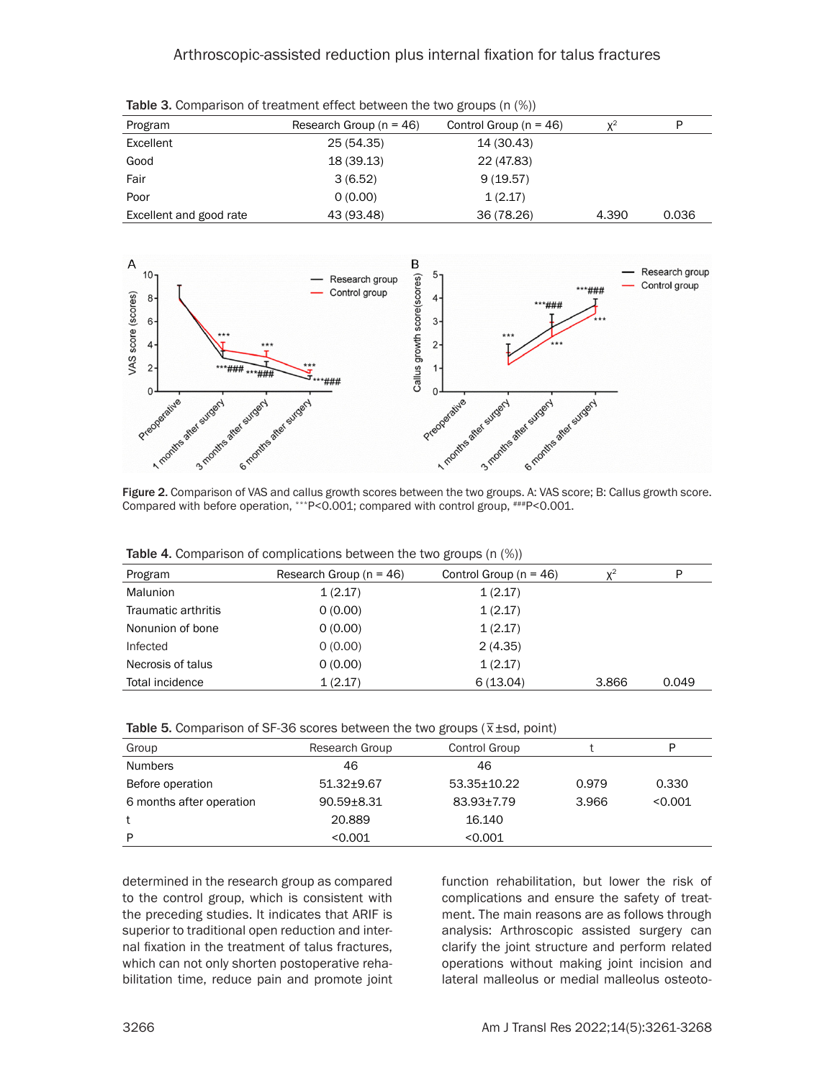# Arthroscopic-assisted reduction plus internal fixation for talus fractures

| <b>TODIO OF COMPUTION IT OF GROUPS IT CHOOL DUCTROOM</b> THO CHO GROUPS (IT (797) |                             |                            |       |       |  |
|-----------------------------------------------------------------------------------|-----------------------------|----------------------------|-------|-------|--|
| Program                                                                           | Research Group ( $n = 46$ ) | Control Group ( $n = 46$ ) | $v^2$ | P     |  |
| Excellent                                                                         | 25 (54.35)                  | 14 (30.43)                 |       |       |  |
| Good                                                                              | 18 (39.13)                  | 22 (47.83)                 |       |       |  |
| Fair                                                                              | 3(6.52)                     | 9(19.57)                   |       |       |  |
| Poor                                                                              | 0(0.00)                     | 1(2.17)                    |       |       |  |
| Excellent and good rate                                                           | 43 (93.48)                  | 36 (78.26)                 | 4.390 | 0.036 |  |

Table 3. Comparison of treatment effect between the two groups (n (%))



Figure 2. Comparison of VAS and callus growth scores between the two groups. A: VAS score; B: Callus growth score. Compared with before operation, \*\*\*P<0.001; compared with control group, ###P<0.001.

| Program             | Research Group $(n = 46)$ | Control Group ( $n = 46$ ) | $x^2$ | P     |  |
|---------------------|---------------------------|----------------------------|-------|-------|--|
| Malunion            | 1(2.17)                   | 1(2.17)                    |       |       |  |
| Traumatic arthritis | 0(0.00)                   | 1(2.17)                    |       |       |  |
| Nonunion of bone    | 0(0.00)                   | 1(2.17)                    |       |       |  |
| Infected            | 0(0.00)                   | 2(4.35)                    |       |       |  |
| Necrosis of talus   | 0(0.00)                   | 1(2.17)                    |       |       |  |
| Total incidence     | 1(2.17)                   | 6(13.04)                   | 3.866 | 0.049 |  |

Table 4. Comparison of complications between the two groups (n (%))

| Table 5. Comparison of SF-36 scores between the two groups ( $\overline{x}$ ±sd, point) |  |  |
|-----------------------------------------------------------------------------------------|--|--|

| Group                    | Research Group | Control Group     |       | P       |
|--------------------------|----------------|-------------------|-------|---------|
| <b>Numbers</b>           | 46             | 46                |       |         |
| Before operation         | $51.32 + 9.67$ | $53.35 \pm 10.22$ | 0.979 | 0.330   |
| 6 months after operation | $90.59 + 8.31$ | 83.93+7.79        | 3.966 | < 0.001 |
| t                        | 20.889         | 16.140            |       |         |
| P                        | < 0.001        | < 0.001           |       |         |

determined in the research group as compared to the control group, which is consistent with the preceding studies. It indicates that ARIF is superior to traditional open reduction and internal fixation in the treatment of talus fractures, which can not only shorten postoperative rehabilitation time, reduce pain and promote joint

function rehabilitation, but lower the risk of complications and ensure the safety of treatment. The main reasons are as follows through analysis: Arthroscopic assisted surgery can clarify the joint structure and perform related operations without making joint incision and lateral malleolus or medial malleolus osteoto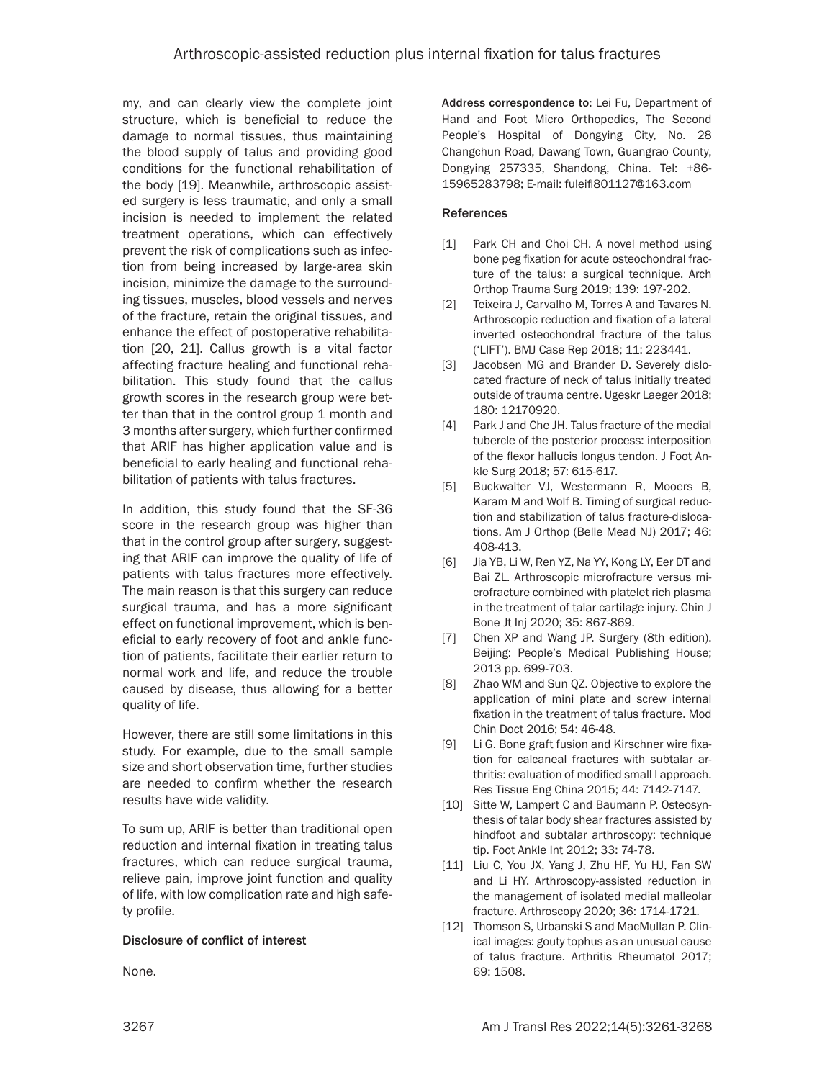my, and can clearly view the complete joint structure, which is beneficial to reduce the damage to normal tissues, thus maintaining the blood supply of talus and providing good conditions for the functional rehabilitation of the body [19]. Meanwhile, arthroscopic assisted surgery is less traumatic, and only a small incision is needed to implement the related treatment operations, which can effectively prevent the risk of complications such as infection from being increased by large-area skin incision, minimize the damage to the surrounding tissues, muscles, blood vessels and nerves of the fracture, retain the original tissues, and enhance the effect of postoperative rehabilitation [20, 21]. Callus growth is a vital factor affecting fracture healing and functional rehabilitation. This study found that the callus growth scores in the research group were better than that in the control group 1 month and 3 months after surgery, which further confirmed that ARIF has higher application value and is beneficial to early healing and functional rehabilitation of patients with talus fractures.

In addition, this study found that the SF-36 score in the research group was higher than that in the control group after surgery, suggesting that ARIF can improve the quality of life of patients with talus fractures more effectively. The main reason is that this surgery can reduce surgical trauma, and has a more significant effect on functional improvement, which is beneficial to early recovery of foot and ankle function of patients, facilitate their earlier return to normal work and life, and reduce the trouble caused by disease, thus allowing for a better quality of life.

However, there are still some limitations in this study. For example, due to the small sample size and short observation time, further studies are needed to confirm whether the research results have wide validity.

To sum up, ARIF is better than traditional open reduction and internal fixation in treating talus fractures, which can reduce surgical trauma, relieve pain, improve joint function and quality of life, with low complication rate and high safety profile.

#### Disclosure of conflict of interest

None.

Address correspondence to: Lei Fu, Department of Hand and Foot Micro Orthopedics, The Second People's Hospital of Dongying City, No. 28 Changchun Road, Dawang Town, Guangrao County, Dongying 257335, Shandong, China. Tel: +86- 15965283798; E-mail: fuleifl801127@163.com

#### References

- [1] Park CH and Choi CH. A novel method using bone peg fixation for acute osteochondral fracture of the talus: a surgical technique. Arch Orthop Trauma Surg 2019; 139: 197-202.
- [2] Teixeira J, Carvalho M, Torres A and Tavares N. Arthroscopic reduction and fixation of a lateral inverted osteochondral fracture of the talus ('LIFT'). BMJ Case Rep 2018; 11: 223441.
- [3] Jacobsen MG and Brander D. Severely dislocated fracture of neck of talus initially treated outside of trauma centre. Ugeskr Laeger 2018; 180: 12170920.
- [4] Park J and Che JH. Talus fracture of the medial tubercle of the posterior process: interposition of the flexor hallucis longus tendon. J Foot Ankle Surg 2018; 57: 615-617.
- [5] Buckwalter VJ, Westermann R, Mooers B, Karam M and Wolf B. Timing of surgical reduction and stabilization of talus fracture-dislocations. Am J Orthop (Belle Mead NJ) 2017; 46: 408-413.
- [6] Jia YB, Li W, Ren YZ, Na YY, Kong LY, Eer DT and Bai ZL. Arthroscopic microfracture versus microfracture combined with platelet rich plasma in the treatment of talar cartilage injury. Chin J Bone Jt Inj 2020; 35: 867-869.
- [7] Chen XP and Wang JP. Surgery (8th edition). Beijing: People's Medical Publishing House; 2013 pp. 699-703.
- [8] Zhao WM and Sun QZ. Objective to explore the application of mini plate and screw internal fixation in the treatment of talus fracture. Mod Chin Doct 2016; 54: 46-48.
- [9] Li G. Bone graft fusion and Kirschner wire fixation for calcaneal fractures with subtalar arthritis: evaluation of modified small l approach. Res Tissue Eng China 2015; 44: 7142-7147.
- [10] Sitte W, Lampert C and Baumann P. Osteosynthesis of talar body shear fractures assisted by hindfoot and subtalar arthroscopy: technique tip. Foot Ankle Int 2012; 33: 74-78.
- [11] Liu C, You JX, Yang J, Zhu HF, Yu HJ, Fan SW and Li HY. Arthroscopy-assisted reduction in the management of isolated medial malleolar fracture. Arthroscopy 2020; 36: 1714-1721.
- [12] Thomson S, Urbanski S and MacMullan P. Clinical images: gouty tophus as an unusual cause of talus fracture. Arthritis Rheumatol 2017; 69: 1508.